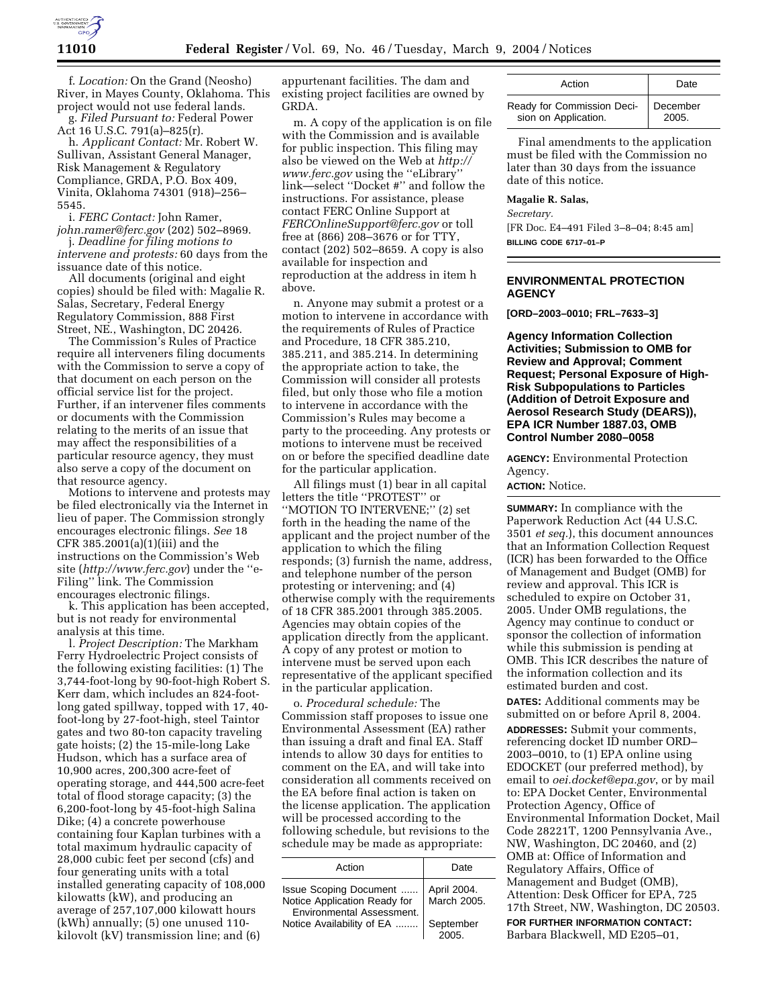

f. *Location:* On the Grand (Neosho) River, in Mayes County, Oklahoma. This project would not use federal lands.

g. *Filed Pursuant to:* Federal Power Act 16 U.S.C. 791(a)–825(r).

h. *Applicant Contact:* Mr. Robert W. Sullivan, Assistant General Manager, Risk Management & Regulatory Compliance, GRDA, P.O. Box 409, Vinita, Oklahoma 74301 (918)–256– 5545.

i. *FERC Contact:* John Ramer, *john.ramer@ferc.gov* (202) 502–8969.

j. *Deadline for filing motions to intervene and protests:* 60 days from the issuance date of this notice.

All documents (original and eight copies) should be filed with: Magalie R. Salas, Secretary, Federal Energy Regulatory Commission, 888 First Street, NE., Washington, DC 20426.

The Commission's Rules of Practice require all interveners filing documents with the Commission to serve a copy of that document on each person on the official service list for the project. Further, if an intervener files comments or documents with the Commission relating to the merits of an issue that may affect the responsibilities of a particular resource agency, they must also serve a copy of the document on that resource agency.

Motions to intervene and protests may be filed electronically via the Internet in lieu of paper. The Commission strongly encourages electronic filings. *See* 18 CFR 385.2001(a)(1)(iii) and the instructions on the Commission's Web site (*http://www.ferc.gov*) under the ''e-Filing'' link. The Commission encourages electronic filings.

k. This application has been accepted, but is not ready for environmental analysis at this time.

l*. Project Description:* The Markham Ferry Hydroelectric Project consists of the following existing facilities: (1) The 3,744-foot-long by 90-foot-high Robert S. Kerr dam, which includes an 824-footlong gated spillway, topped with 17, 40 foot-long by 27-foot-high, steel Taintor gates and two 80-ton capacity traveling gate hoists; (2) the 15-mile-long Lake Hudson, which has a surface area of 10,900 acres, 200,300 acre-feet of operating storage, and 444,500 acre-feet total of flood storage capacity; (3) the 6,200-foot-long by 45-foot-high Salina Dike; (4) a concrete powerhouse containing four Kaplan turbines with a total maximum hydraulic capacity of 28,000 cubic feet per second (cfs) and four generating units with a total installed generating capacity of 108,000 kilowatts (kW), and producing an average of 257,107,000 kilowatt hours (kWh) annually; (5) one unused 110 kilovolt (kV) transmission line; and (6)

appurtenant facilities. The dam and existing project facilities are owned by GRDA.

m. A copy of the application is on file with the Commission and is available for public inspection. This filing may also be viewed on the Web at *http:// www.ferc.gov* using the ''eLibrary'' link—select ''Docket #'' and follow the instructions. For assistance, please contact FERC Online Support at *FERCOnlineSupport@ferc.gov* or toll free at (866) 208–3676 or for TTY, contact (202) 502–8659. A copy is also available for inspection and reproduction at the address in item h above.

n. Anyone may submit a protest or a motion to intervene in accordance with the requirements of Rules of Practice and Procedure, 18 CFR 385.210, 385.211, and 385.214. In determining the appropriate action to take, the Commission will consider all protests filed, but only those who file a motion to intervene in accordance with the Commission's Rules may become a party to the proceeding. Any protests or motions to intervene must be received on or before the specified deadline date for the particular application.

All filings must (1) bear in all capital letters the title ''PROTEST'' or ''MOTION TO INTERVENE;'' (2) set forth in the heading the name of the applicant and the project number of the application to which the filing responds; (3) furnish the name, address, and telephone number of the person protesting or intervening; and (4) otherwise comply with the requirements of 18 CFR 385.2001 through 385.2005. Agencies may obtain copies of the application directly from the applicant. A copy of any protest or motion to intervene must be served upon each representative of the applicant specified in the particular application.

o. *Procedural schedule:* The Commission staff proposes to issue one Environmental Assessment (EA) rather than issuing a draft and final EA. Staff intends to allow 30 days for entities to comment on the EA, and will take into consideration all comments received on the EA before final action is taken on the license application. The application will be processed according to the following schedule, but revisions to the schedule may be made as appropriate:

| Action                                                                              | Date                       |
|-------------------------------------------------------------------------------------|----------------------------|
| Issue Scoping Document<br>Notice Application Ready for<br>Environmental Assessment. | April 2004.<br>March 2005. |
| Notice Availability of EA                                                           | September                  |

| Action                     | Date     |
|----------------------------|----------|
| Ready for Commission Deci- | December |
| sion on Application.       | 2005.    |

Final amendments to the application must be filed with the Commission no later than 30 days from the issuance date of this notice.

#### **Magalie R. Salas,**

*Secretary.* [FR Doc. E4–491 Filed 3–8–04; 8:45 am]

**BILLING CODE 6717–01–P**

## **ENVIRONMENTAL PROTECTION AGENCY**

**[ORD–2003–0010; FRL–7633–3]** 

**Agency Information Collection Activities; Submission to OMB for Review and Approval; Comment Request; Personal Exposure of High-Risk Subpopulations to Particles (Addition of Detroit Exposure and Aerosol Research Study (DEARS)), EPA ICR Number 1887.03, OMB Control Number 2080–0058**

**AGENCY:** Environmental Protection Agency.

#### **ACTION:** Notice.

**SUMMARY:** In compliance with the Paperwork Reduction Act (44 U.S.C. 3501 *et seq.*), this document announces that an Information Collection Request (ICR) has been forwarded to the Office of Management and Budget (OMB) for review and approval. This ICR is scheduled to expire on October 31, 2005. Under OMB regulations, the Agency may continue to conduct or sponsor the collection of information while this submission is pending at OMB. This ICR describes the nature of the information collection and its estimated burden and cost.

**DATES:** Additional comments may be submitted on or before April 8, 2004.

**ADDRESSES:** Submit your comments, referencing docket ID number ORD– 2003–0010, to (1) EPA online using EDOCKET (our preferred method), by email to *oei.docket@epa.gov*, or by mail to: EPA Docket Center, Environmental Protection Agency, Office of Environmental Information Docket, Mail Code 28221T, 1200 Pennsylvania Ave., NW, Washington, DC 20460, and (2) OMB at: Office of Information and Regulatory Affairs, Office of Management and Budget (OMB), Attention: Desk Officer for EPA, 725 17th Street, NW, Washington, DC 20503.

**FOR FURTHER INFORMATION CONTACT:** Barbara Blackwell, MD E205–01,